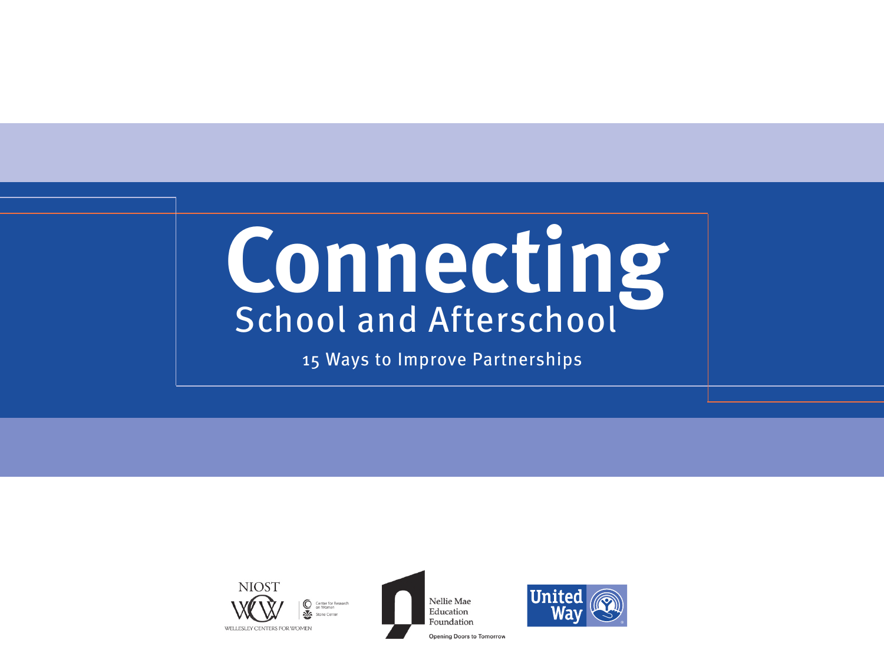# **Connecting** School and Afterschool

15 Ways to Improve Partnerships







**Opening Doors to Tomorrov**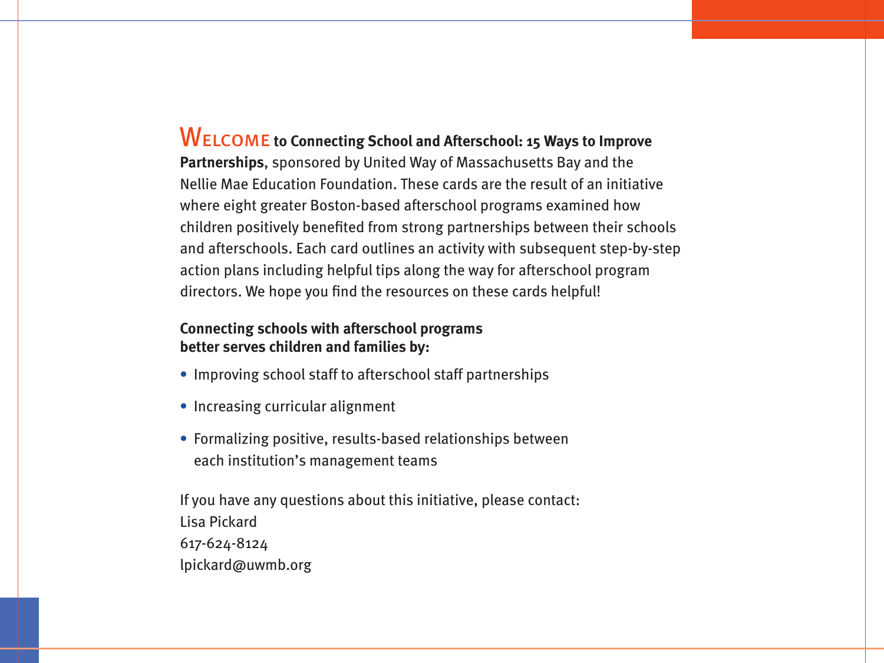# Welcome **to Connecting School and Afterschool: 15 Ways to Improve**

**Partnerships**, sponsored by United Way of Massachusetts Bay and the Nellie Mae Education Foundation. These cards are the result of an initiative where eight greater Boston-based afterschool programs examined how children positively benefited from strong partnerships between their schools and afterschools. Each card outlines an activity with subsequent step-by-step action plans including helpful tips along the way for afterschool program directors. We hope you find the resources on these cards helpful!

#### **Connecting schools with afterschool programs better serves children and families by:**

- **•** Improving school staff to afterschool staff partnerships
- Increasing curricular alignment
- Formalizing positive, results-based relationships between each institution's management teams

If you have any questions about this initiative, please contact: Lisa Pickard 617-624-8124 lpickard@uwmb.org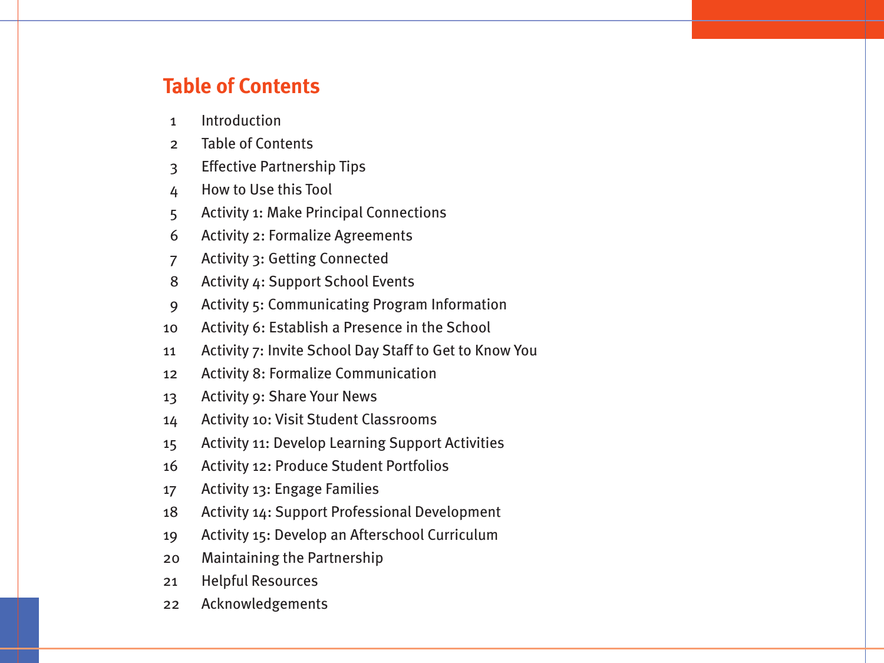#### **Table of Contents**

- 1 Introduction
- 2 Table of Contents
- 3 Effective Partnership Tips
- 4 How to Use this Tool
- 5 Activity 1: Make Principal Connections
- 6 Activity 2: Formalize Agreements
- 7 Activity 3: Getting Connected
- 8 Activity 4: Support School Events
- 9 Activity 5: Communicating Program Information
- 10 Activity 6: Establish a Presence in the School
- 11 Activity 7: Invite School Day Staff to Get to Know You
- 12 Activity 8: Formalize Communication
- 13 Activity 9: Share Your News
- 14 Activity 10: Visit Student Classrooms
- 15 Activity 11: Develop Learning Support Activities
- 16 Activity 12: Produce Student Portfolios
- 17 Activity 13: Engage Families
- 18 Activity 14: Support Professional Development
- 19 Activity 15: Develop an Afterschool Curriculum
- 20 Maintaining the Partnership
- 21 Helpful Resources
- 22 Acknowledgements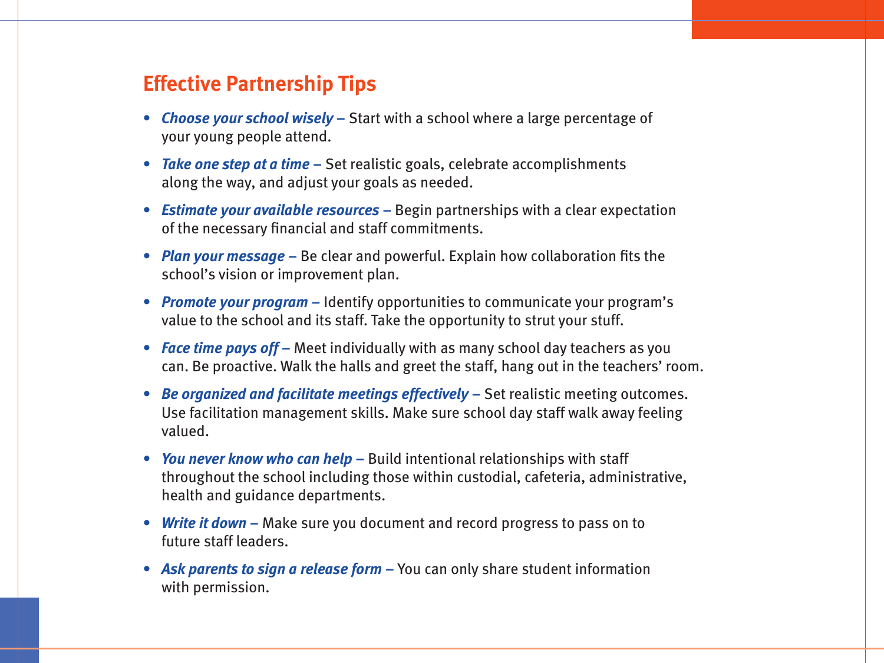#### **Effective Partnership Tips**

- **•** *Choose your school wisely* Start with a school where a large percentage of your young people attend.
- **•** *Take one step at a time* Set realistic goals, celebrate accomplishments along the way, and adjust your goals as needed.
- *Estimate your available resources* Begin partnerships with a clear expectation of the necessary financial and staff commitments.
- *Plan your message* Be clear and powerful. Explain how collaboration fits the school's vision or improvement plan.
- *Promote your program*Identify opportunities to communicate your program's value to the school and its staff. Take the opportunity to strut your stuff.
- *Face time pays off*Meet individually with as many school day teachers as you can. Be proactive. Walk the halls and greet the staff, hang out in the teachers' room.
- *Be organized and facilitate meetings effectively*Set realistic meeting outcomes. Use facilitation management skills. Make sure school day staff walk away feeling valued.
- *You never know who can help*Build intentional relationships with staff throughout the school including those within custodial, cafeteria, administrative, health and guidance departments.
- *Write it down*Make sure you document and record progress to pass on to future staff leaders.
- *Ask parents to sign a release form*You can only share student information with permission.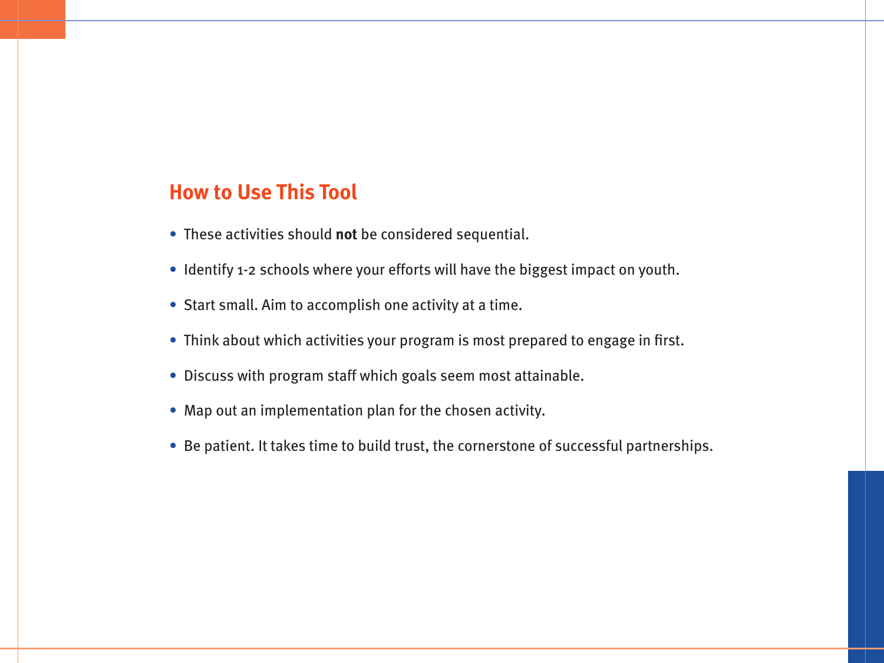#### **How to Use This Tool**

- These activities should **not** be considered sequential.
- Identify 1-2 schools where your efforts will have the biggest impact on youth.
- Start small. Aim to accomplish one activity at a time.
- Think about which activities your program is most prepared to engage in first.
- Discuss with program staff which goals seem most attainable.
- Map out an implementation plan for the chosen activity.
- Be patient. It takes time to build trust, the cornerstone of successful partnerships.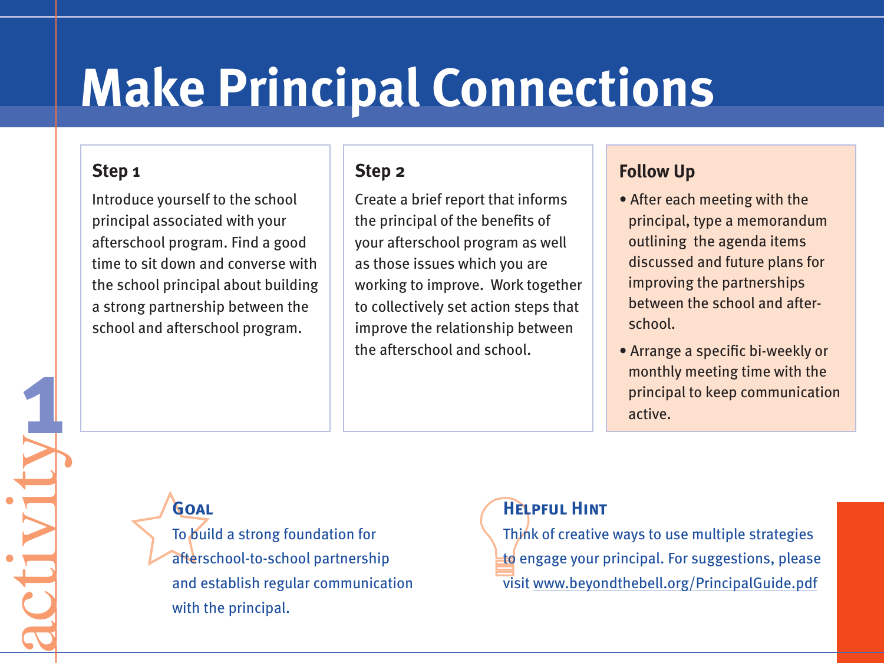# **Make Principal Connections**

#### **Step 1**

**1**

activity

Introduce yourself to the school principal associated with your afterschool program. Find a good time to sit down and converse with the school principal about building a strong partnership between the school and afterschool program.

#### **Step 2**

Create a brief report that informs the principal of the benefits of your afterschool program as well as those issues which you are working to improve. Work together to collectively set action steps that improve the relationship between the afterschool and school.

### **Follow Up**

- After each meeting with the principal, type a memorandum outlining the agenda items discussed and future plans for improving the partnerships between the school and afterschool.
- Arrange a specific bi-weekly or monthly meeting time with the principal to keep communication active.

# **Goal**

To build a strong foundation for afterschool-to-school partnership and establish regular communication with the principal.

### **Helpful Hint**

Think of creative ways to use multiple strategies to engage your principal. For suggestions, please visit www.beyondthebell.org/PrincipalGuide.pdf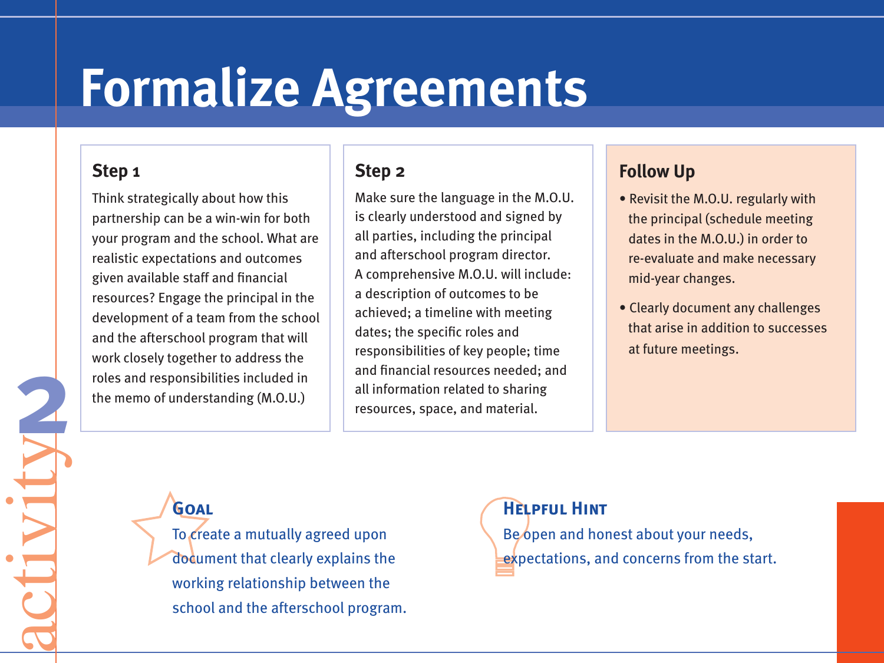# **Formalize Agreements**

#### **Step 1**

**2**

activity

Think strategically about how this partnership can be a win-win for both your program and the school. What are realistic expectations and outcomes given available staff and financial resources? Engage the principal in the development of a team from the school and the afterschool program that will work closely together to address the roles and responsibilities included in the memo of understanding (M.O.U.)

#### **Step 2**

Make sure the language in the M.O.U. is clearly understood and signed by all parties, including the principal and afterschool program director. A comprehensive M.O.U. will include: a description of outcomes to be achieved; a timeline with meeting dates; the specific roles and responsibilities of key people; time and financial resources needed; and all information related to sharing resources, space, and material.

### **Follow Up**

- Revisit the M.O.U. regularly with the principal (schedule meeting dates in the M.O.U.) in order to re-evaluate and make necessary mid-year changes.
- Clearly document any challenges that arise in addition to successes at future meetings.

# **Goal**

To create a mutually agreed upon document that clearly explains the working relationship between the school and the afterschool program. **Helpful Hint** Be open and honest about your needs, expectations, and concerns from the start.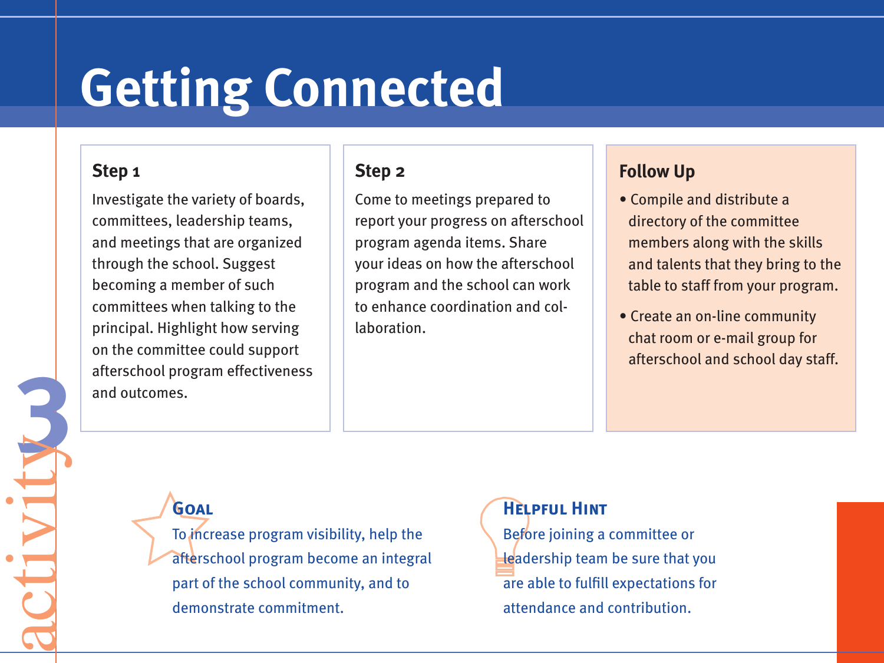# **Getting Connected**

#### **Step 1**

**3**activity

Investigate the variety of boards, committees, leadership teams, and meetings that are organized through the school. Suggest becoming a member of such committees when talking to the principal. Highlight how serving on the committee could support afterschool program effectiveness and outcomes.

#### **Step 2**

Come to meetings prepared to report your progress on afterschool program agenda items. Share your ideas on how the afterschool program and the school can work to enhance coordination and collaboration.

#### **Follow Up**

- Compile and distribute a directory of the committee members along with the skills and talents that they bring to the table to staff from your program.
- Create an on-line community chat room or e-mail group for afterschool and school day staff.

# **Goal**

To increase program visibility, help the afterschool program become an integral part of the school community, and to demonstrate commitment.

**Helpful Hint** Before joining a committee or leadership team be sure that you are able to fulfill expectations for attendance and contribution.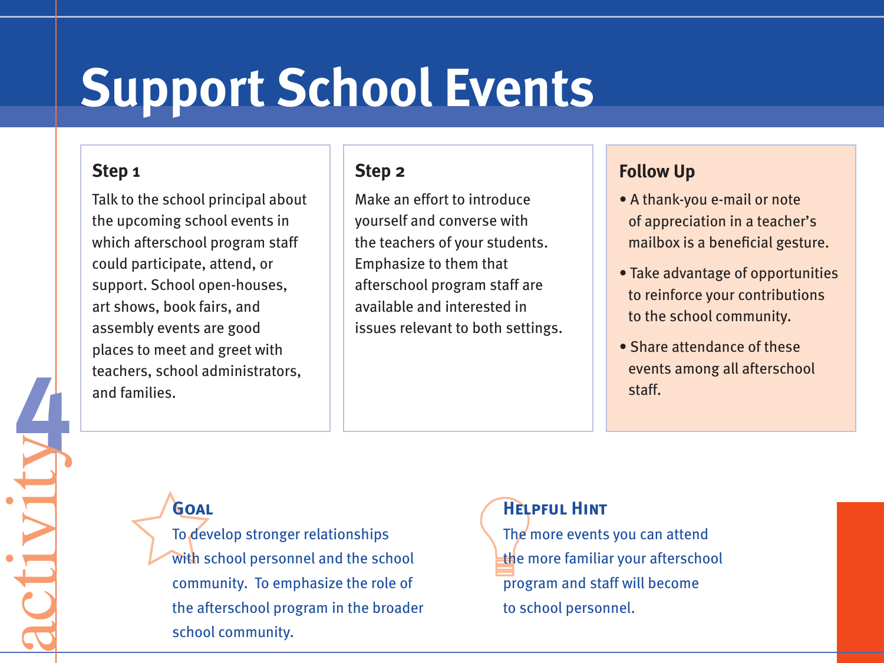# **Support School Events**

#### **Step 1**

**4**activity

Talk to the school principal about the upcoming school events in which afterschool program staff could participate, attend, or support. School open-houses, art shows, book fairs, and assembly events are good places to meet and greet with teachers, school administrators, and families.

#### **Step 2**

Make an effort to introduce yourself and converse with the teachers of your students. Emphasize to them that afterschool program staff are available and interested in issues relevant to both settings.

### **Follow Up**

- A thank-you e-mail or note of appreciation in a teacher's mailbox is a beneficial gesture.
- Take advantage of opportunities to reinforce your contributions to the school community.
- Share attendance of these events among all afterschool staff.

**Goal**

To develop stronger relationships with school personnel and the school community. To emphasize the role of the afterschool program in the broader school community.

#### **Helpful Hint**

The more events you can attend the more familiar your afterschool program and staff will become to school personnel.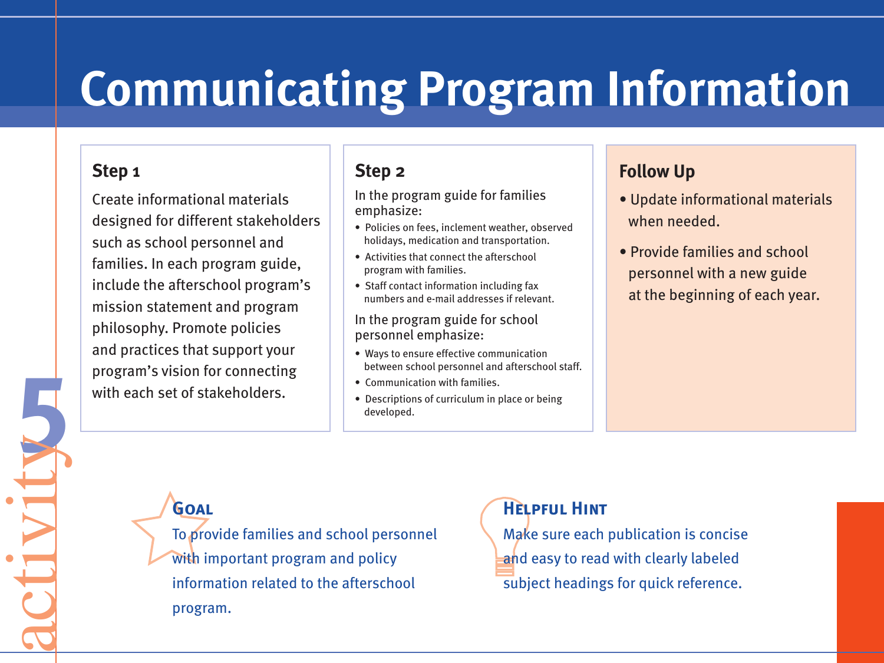# **Communicating Program Information**

#### **Step 1**

**5**activity

Create informational materials designed for different stakeholders such as school personnel and families. In each program guide, include the afterschool program's mission statement and program philosophy. Promote policies and practices that support your program's vision for connecting with each set of stakeholders.

#### **Step 2**

In the program guide for families emphasize:

- Policies on fees, inclement weather, observed holidays, medication and transportation.
- Activities that connect the afterschool program with families.
- Staff contact information including fax numbers and e-mail addresses if relevant.

In the program guide for school personnel emphasize:

- Ways to ensure effective communication between school personnel and afterschool staff.
- Communication with families.
- Descriptions of curriculum in place or being developed.

### **Follow Up**

- Update informational materials when needed.
- Provide families and school personnel with a new guide at the beginning of each year.

**Goal**

To provide families and school personnel with important program and policy information related to the afterschool program.

#### **Helpful Hint**

Make sure each publication is concise and easy to read with clearly labeled subject headings for quick reference.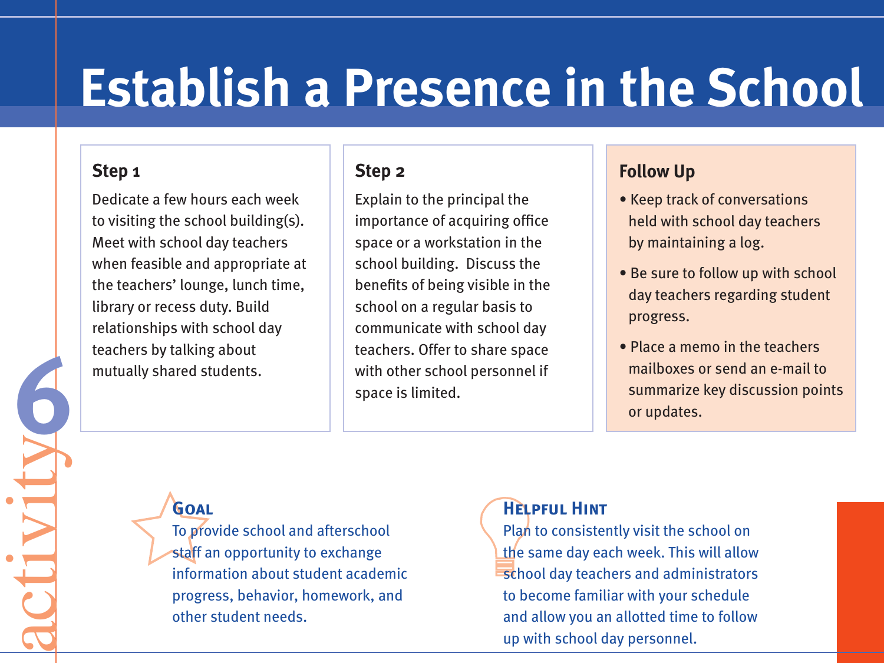# **Establish a Presence in the School**

#### **Step 1**

**6**

activity

Dedicate a few hours each week to visiting the school building(s). Meet with school day teachers when feasible and appropriate at the teachers' lounge, lunch time, library or recess duty. Build relationships with school day teachers by talking about mutually shared students.

#### **Step 2**

Explain to the principal the importance of acquiring office space or a workstation in the school building. Discuss the benefits of being visible in the school on a regular basis to communicate with school day teachers. Offer to share space with other school personnel if space is limited.

#### **Follow Up**

- Keep track of conversations held with school day teachers by maintaining a log.
- Be sure to follow up with school day teachers regarding student progress.
- Place a memo in the teachers mailboxes or send an e-mail to summarize key discussion points or updates.

### **Goal**

To provide school and afterschool staff an opportunity to exchange information about student academic progress, behavior, homework, and other student needs.

#### **Helpful Hint**

Plan to consistently visit the school on the same day each week. This will allow school day teachers and administrators to become familiar with your schedule and allow you an allotted time to follow up with school day personnel.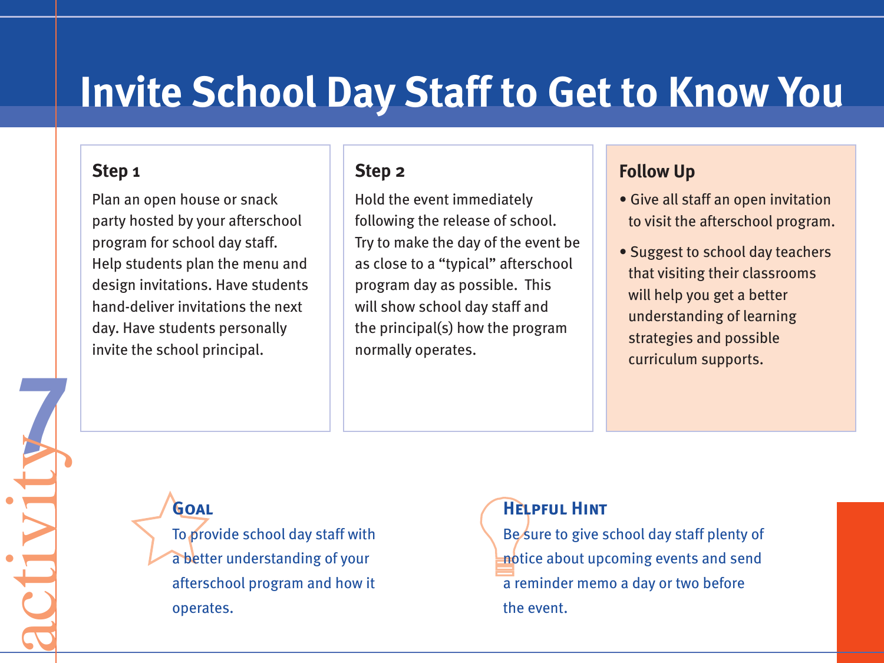# **Invite School Day Staff to Get to Know You**

#### **Step 1**

**7**activity

Plan an open house or snack party hosted by your afterschool program for school day staff. Help students plan the menu and design invitations. Have students hand-deliver invitations the next day. Have students personally invite the school principal.

#### **Step 2**

Hold the event immediately following the release of school. Try to make the day of the event be as close to a "typical" afterschool program day as possible. This will show school day staff and the principal(s) how the program normally operates.

#### **Follow Up**

- Give all staff an open invitation to visit the afterschool program.
- Suggest to school day teachers that visiting their classrooms will help you get a better understanding of learning strategies and possible curriculum supports.

### **Goal**

To provide school day staff with a better understanding of your afterschool program and how it operates.

#### **Helpful Hint**

Be sure to give school day staff plenty of notice about upcoming events and send a reminder memo a day or two before the event.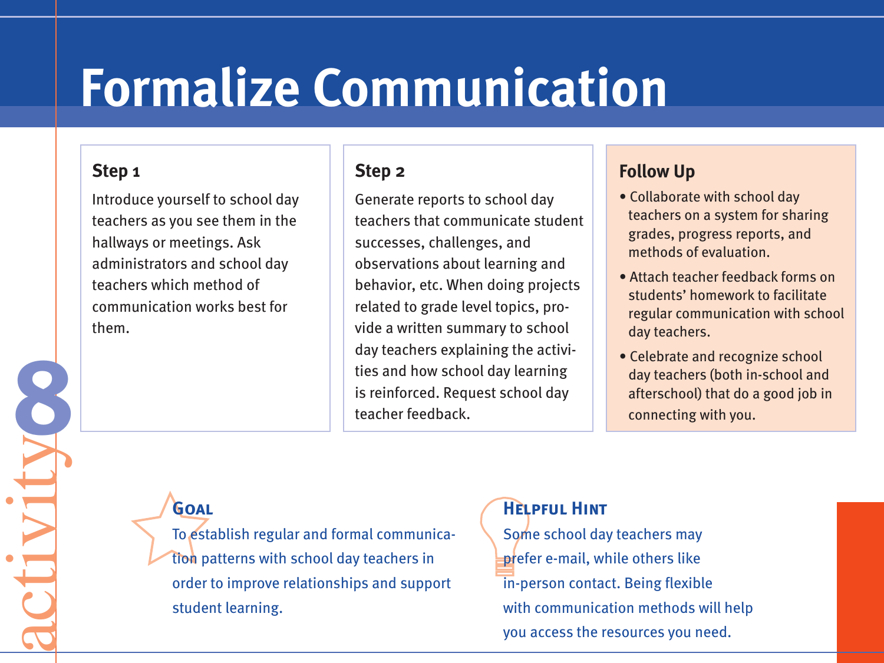# **Formalize Communication**

#### **Step 1**

**8**activity

Introduce yourself to school day teachers as you see them in the hallways or meetings. Ask administrators and school day teachers which method of communication works best for them.

#### **Step 2**

Generate reports to school day teachers that communicate student successes, challenges, and observations about learning and behavior, etc. When doing projects related to grade level topics, provide a written summary to school day teachers explaining the activities and how school day learning is reinforced. Request school day teacher feedback.

# **Follow Up**

- Collaborate with school day teachers on a system for sharing grades, progress reports, and methods of evaluation.
- Attach teacher feedback forms on students' homework to facilitate regular communication with school day teachers.
- Celebrate and recognize school day teachers (both in-school and afterschool) that do a good job in connecting with you.

# **Goal**

To establish regular and formal communication patterns with school day teachers in order to improve relationships and support student learning.

### **Helpful Hint**

Some school day teachers may prefer e-mail, while others like in-person contact. Being flexible with communication methods will help you access the resources you need.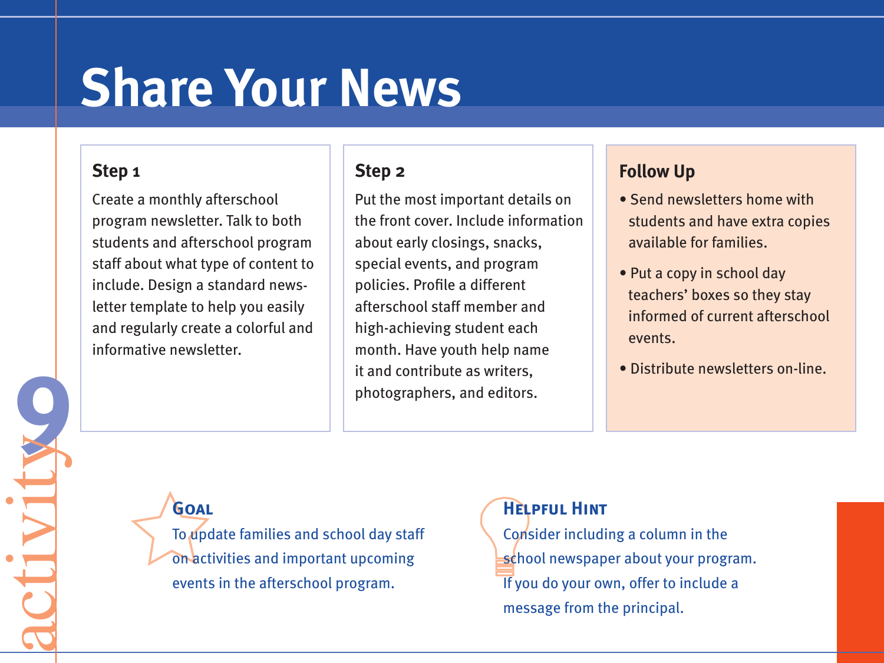# **Share Your News**

#### **Step 1**

**9**activity

Create a monthly afterschool program newsletter. Talk to both students and afterschool program staff about what type of content to include. Design a standard newsletter template to help you easily and regularly create a colorful and informative newsletter.

#### **Step 2**

Put the most important details on the front cover. Include information about early closings, snacks, special events, and program policies. Profile a different afterschool staff member and high-achieving student each month. Have youth help name it and contribute as writers, photographers, and editors.

### **Follow Up**

- Send newsletters home with students and have extra copies available for families.
- Put a copy in school day teachers' boxes so they stay informed of current afterschool events.
- Distribute newsletters on-line.

# **Goal**

To update families and school day staff on activities and important upcoming events in the afterschool program.

#### **Helpful Hint**

Consider including a column in the school newspaper about your program. If you do your own, offer to include a message from the principal.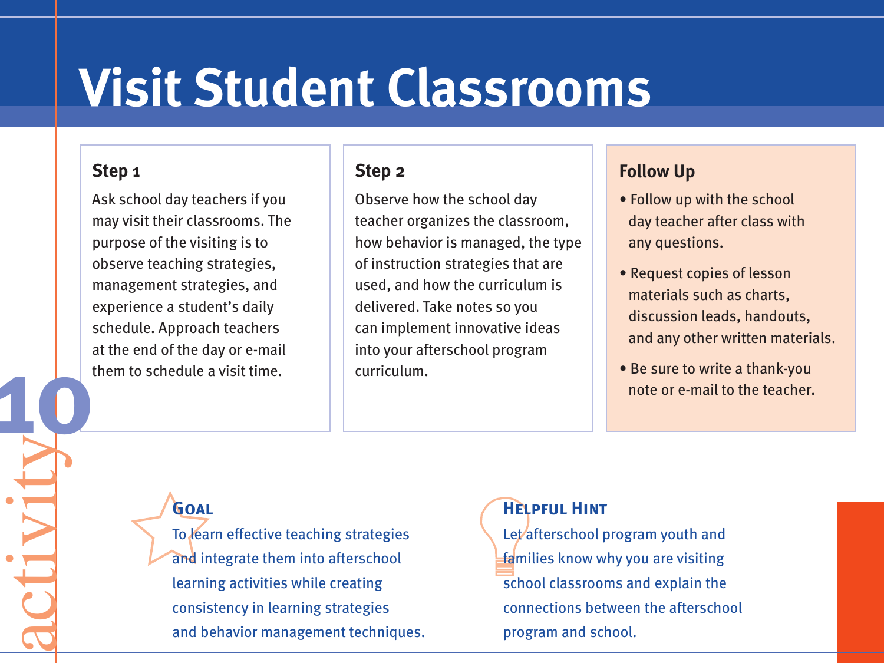# **Visit Student Classrooms**

#### **Step 1**

**10**

activity

Ask school day teachers if you may visit their classrooms. The purpose of the visiting is to observe teaching strategies, management strategies, and experience a student's daily schedule. Approach teachers at the end of the day or e-mail them to schedule a visit time.

#### **Step 2**

Observe how the school day teacher organizes the classroom, how behavior is managed, the type of instruction strategies that are used, and how the curriculum is delivered. Take notes so you can implement innovative ideas into your afterschool program curriculum.

#### **Follow Up**

- Follow up with the school day teacher after class with any questions.
- Request copies of lesson materials such as charts, discussion leads, handouts, and any other written materials.
- Be sure to write a thank-you note or e-mail to the teacher.

### **Goal**

To learn effective teaching strategies and integrate them into afterschool learning activities while creating consistency in learning strategies and behavior management techniques.

#### **Helpful Hint**

Let afterschool program youth and families know why you are visiting school classrooms and explain the connections between the afterschool program and school.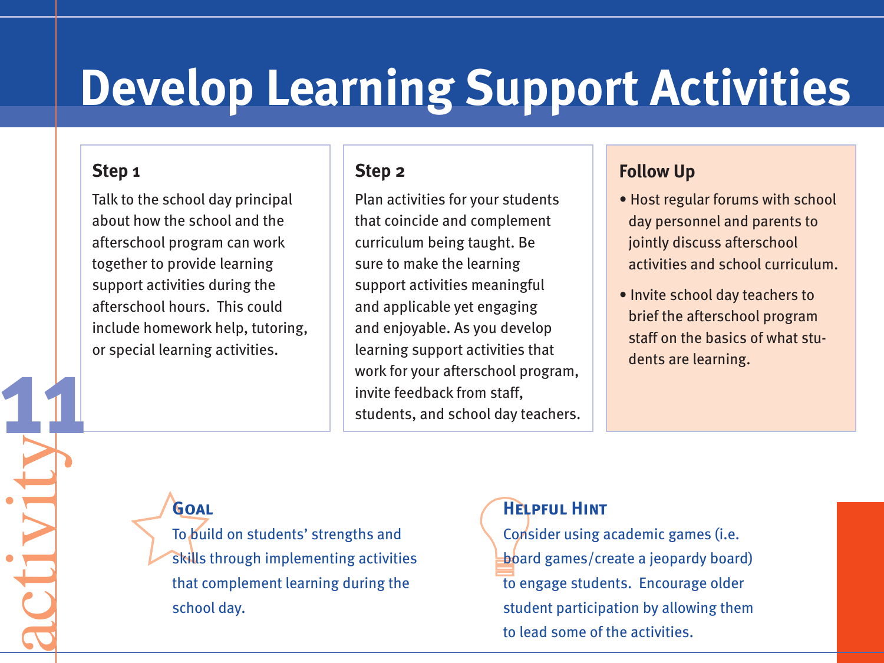# **Develop Learning Support Activities**

#### **Step 1**

**11**

activity

Talk to the school day principal about how the school and the afterschool program can work together to provide learning support activities during the afterschool hours. This could include homework help, tutoring, or special learning activities.

#### **Step 2**

Plan activities for your students that coincide and complement curriculum being taught. Be sure to make the learning support activities meaningful and applicable yet engaging and enjoyable. As you develop learning support activities that work for your afterschool program, invite feedback from staff, students, and school day teachers.

#### **Follow Up**

- Host regular forums with school day personnel and parents to jointly discuss afterschool activities and school curriculum.
- Invite school day teachers to brief the afterschool program staff on the basics of what students are learning.

# **Goal**

To build on students' strengths and skills through implementing activities that complement learning during the school day.

### **Helpful Hint**

Consider using academic games (i.e. board games/create a jeopardy board) to engage students. Encourage older student participation by allowing them to lead some of the activities.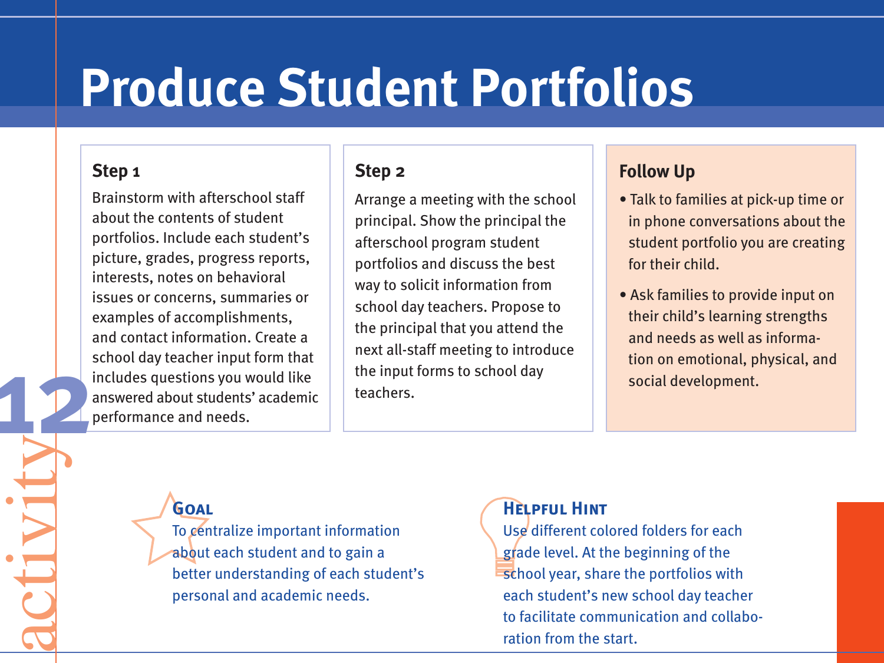# **Produce Student Portfolios**

#### **Step 1**

**12**

activity

Brainstorm with afterschool staff about the contents of student portfolios. Include each student's picture, grades, progress reports, interests, notes on behavioral issues or concerns, summaries or examples of accomplishments, and contact information. Create a school day teacher input form that includes questions you would like answered about students' academic performance and needs.

#### **Step 2**

Arrange a meeting with the school principal. Show the principal the afterschool program student portfolios and discuss the best way to solicit information from school day teachers. Propose to the principal that you attend the next all-staff meeting to introduce the input forms to school day teachers.

#### **Follow Up**

- Talk to families at pick-up time or in phone conversations about the student portfolio you are creating for their child.
- Ask families to provide input on their child's learning strengths and needs as well as information on emotional, physical, and social development.

### **Goal**

To centralize important information about each student and to gain a better understanding of each student's personal and academic needs.

#### **Helpful Hint**

Use different colored folders for each grade level. At the beginning of the school year, share the portfolios with each student's new school day teacher to facilitate communication and collaboration from the start.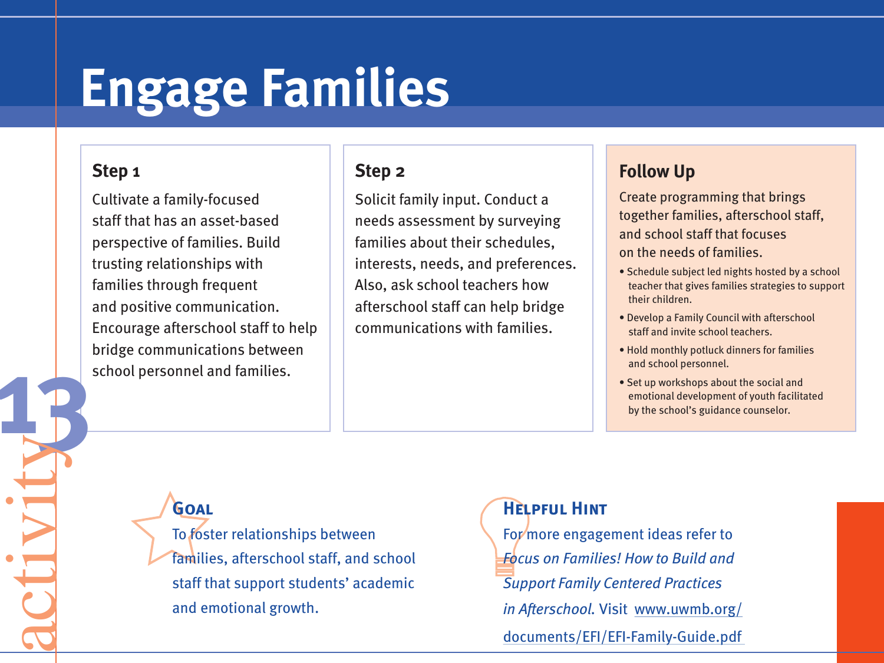# **Engage Families**

#### **Step 1**

**13**activity

Cultivate a family-focused staff that has an asset-based perspective of families. Build trusting relationships with families through frequent and positive communication. Encourage afterschool staff to help bridge communications between school personnel and families.

#### **Step 2**

Solicit family input. Conduct a needs assessment by surveying families about their schedules, interests, needs, and preferences. Also, ask school teachers how afterschool staff can help bridge communications with families.

### **Follow Up**

Create programming that brings together families, afterschool staff, and school staff that focuses on the needs of families.

- Schedule subject led nights hosted by a school teacher that gives families strategies to support their children.
- Develop a Family Council with afterschool staff and invite school teachers.
- Hold monthly potluck dinners for families and school personnel.
- Set up workshops about the social and emotional development of youth facilitated by the school's guidance counselor.

**Goal**

To foster relationships between families, afterschool staff, and school staff that support students' academic and emotional growth.

### **Helpful Hint**

For more engagement ideas refer to *Focus on Families! How to Build and Support Family Centered Practices in Afterschool.* Visit www.uwmb.org/ documents/EFI/EFI-Family-Guide.pdf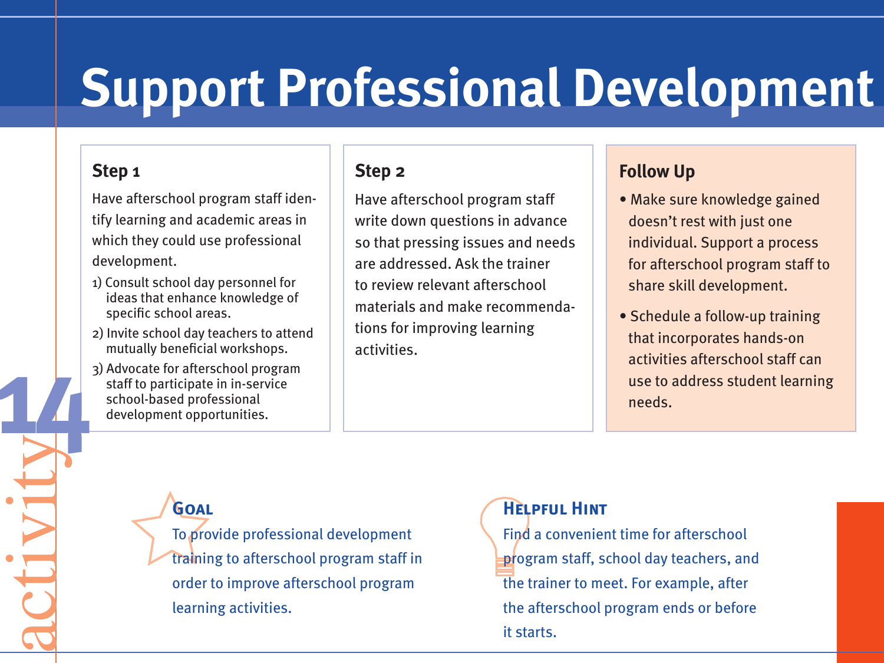# **Support Professional Development**

#### **Step 1**

**14**activity

Have afterschool program staff identify learning and academic areas in which they could use professional development.

- 1) Consult school day personnel for ideas that enhance knowledge of specific school areas.
- 2) Invite school day teachers to attend mutually beneficial workshops.
- 3) Advocate for afterschool program staff to participate in in-service school-based professional development opportunities.

#### **Step 2**

Have afterschool program staff write down questions in advance so that pressing issues and needs are addressed. Ask the trainer to review relevant afterschool materials and make recommendations for improving learning activities.

#### **Follow Up**

- Make sure knowledge gained doesn't rest with just one individual. Support a process for afterschool program staff to share skill development.
- Schedule a follow-up training that incorporates hands-on activities afterschool staff can use to address student learning needs.

# **Goal**

To provide professional development training to afterschool program staff in order to improve afterschool program learning activities.

### **Helpful Hint**

Find a convenient time for afterschool program staff, school day teachers, and the trainer to meet. For example, after the afterschool program ends or before it starts.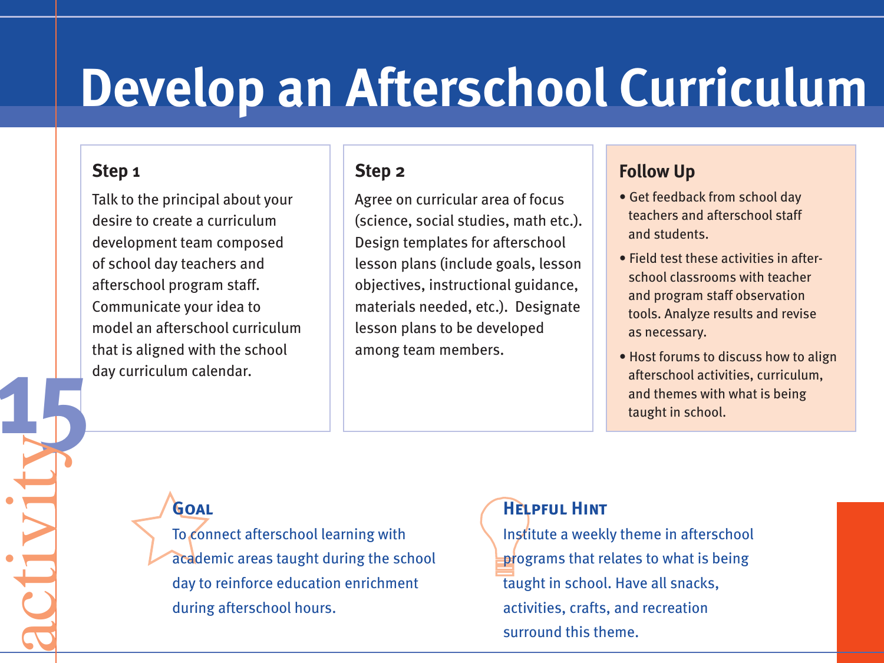# **Develop an Afterschool Curriculum**

#### **Step 1**

**15**activity

Talk to the principal about your desire to create a curriculum development team composed of school day teachers and afterschool program staff. Communicate your idea to model an afterschool curriculum that is aligned with the school day curriculum calendar.

#### **Step 2**

Agree on curricular area of focus (science, social studies, math etc.). Design templates for afterschool lesson plans (include goals, lesson objectives, instructional guidance, materials needed, etc.). Designate lesson plans to be developed among team members.

### **Follow Up**

- Get feedback from school day teachers and afterschool staff and students.
- Field test these activities in afterschool classrooms with teacher and program staff observation tools. Analyze results and revise as necessary.
- Host forums to discuss how to align afterschool activities, curriculum, and themes with what is being taught in school.

# **Goal**

To connect afterschool learning with academic areas taught during the school day to reinforce education enrichment during afterschool hours.

#### **Helpful Hint**

Institute a weekly theme in afterschool programs that relates to what is being taught in school. Have all snacks, activities, crafts, and recreation surround this theme.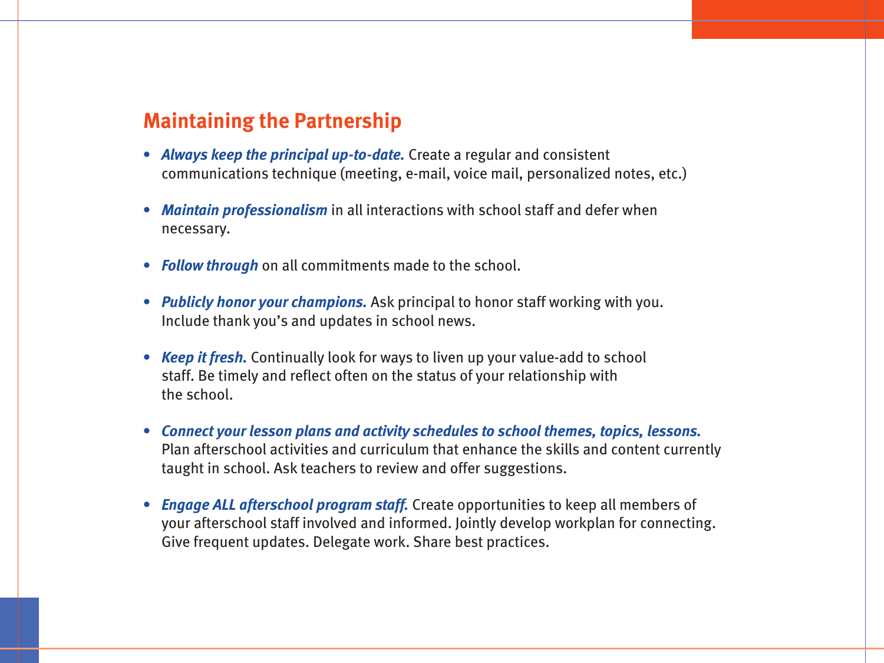#### **Maintaining the Partnership**

- *Always keep the principal up-to-date.* Create a regular and consistent communications technique (meeting, e-mail, voice mail, personalized notes, etc.)
- *Maintain professionalism* in all interactions with school staff and defer when necessary.
- *Follow through* on all commitments made to the school.
- *Publicly honor your champions.* Ask principal to honor staff working with you. Include thank you's and updates in school news.
- *Keep it fresh.* Continually look for ways to liven up your value-add to school staff. Be timely and reflect often on the status of your relationship with the school.
- *Connect your lesson plans and activity schedules to school themes, topics, lessons.* Plan afterschool activities and curriculum that enhance the skills and content currently taught in school. Ask teachers to review and offer suggestions.
- *Engage ALL afterschool program staff.* Create opportunities to keep all members of your afterschool staff involved and informed. Jointly develop workplan for connecting. Give frequent updates. Delegate work. Share best practices.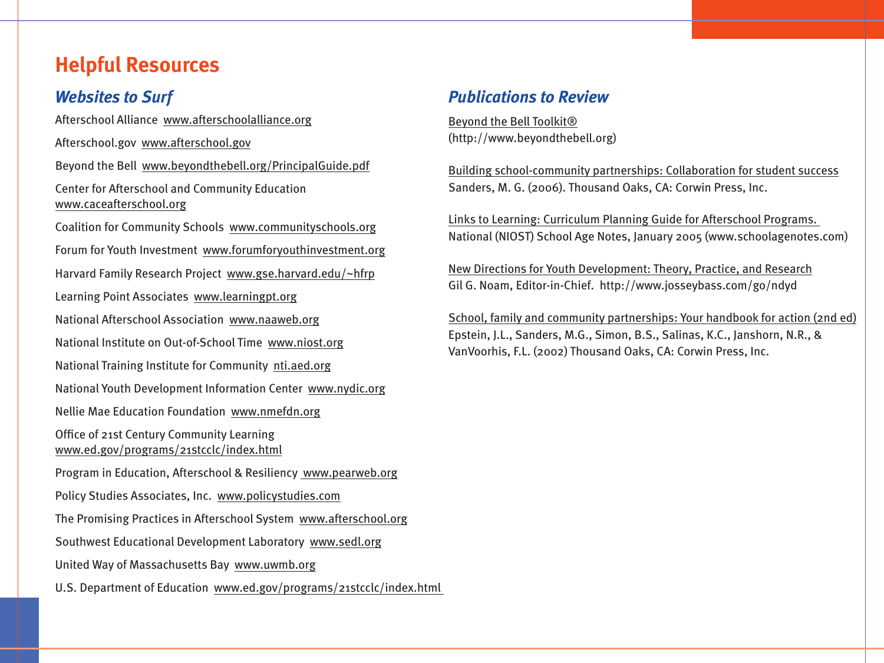# **Helpful Resources**

#### *Websites to Surf*

Afterschool Alliance www.afterschoolalliance.org Afterschool.gov www.afterschool.gov Beyond the Bell www.beyondthebell.org/PrincipalGuide.pdf Center for Afterschool and Community Education www.caceafterschool.org Coalition for Community Schools www.communityschools.org Forum for Youth Investment www.forumforyouthinvestment.org Harvard Family Research Project www.gse.harvard.edu/~hfrp Learning Point Associates www.learningpt.org National Afterschool Association www.naaweb.org National Institute on Out-of-School Time www.niost.org National Training Institute for Community nti.aed.org National Youth Development Information Center www.nydic.org Nellie Mae Education Foundation www.nmefdn.org Office of 21st Century Community Learning www.ed.gov/programs/21stcclc/index.html Program in Education, Afterschool & Resiliency www.pearweb.org Policy Studies Associates, Inc. www.policystudies.com The Promising Practices in Afterschool System www.afterschool.org Southwest Educational Development Laboratory www.sedl.org United Way of Massachusetts Bay www.uwmb.org U.S. Department of Education www.ed.gov/programs/21stcclc/index.html

#### *Publications to Review*

Beyond the Bell Toolkit® (http://www.beyondthebell.org)

Building school-community partnerships: Collaboration for student success Sanders, M. G. (2006). Thousand Oaks, CA: Corwin Press, Inc.

Links to Learning: Curriculum Planning Guide for Afterschool Programs. National (NIOST) School Age Notes, January 2005 (www.schoolagenotes.com)

New Directions for Youth Development: Theory, Practice, and Research Gil G. Noam, Editor-in-Chief. http://www.josseybass.com/go/ndyd

School, family and community partnerships: Your handbook for action (2nd ed) Epstein, J.L., Sanders, M.G., Simon, B.S., Salinas, K.C., Janshorn, N.R., & VanVoorhis, F.L. (2002) Thousand Oaks, CA: Corwin Press, Inc.